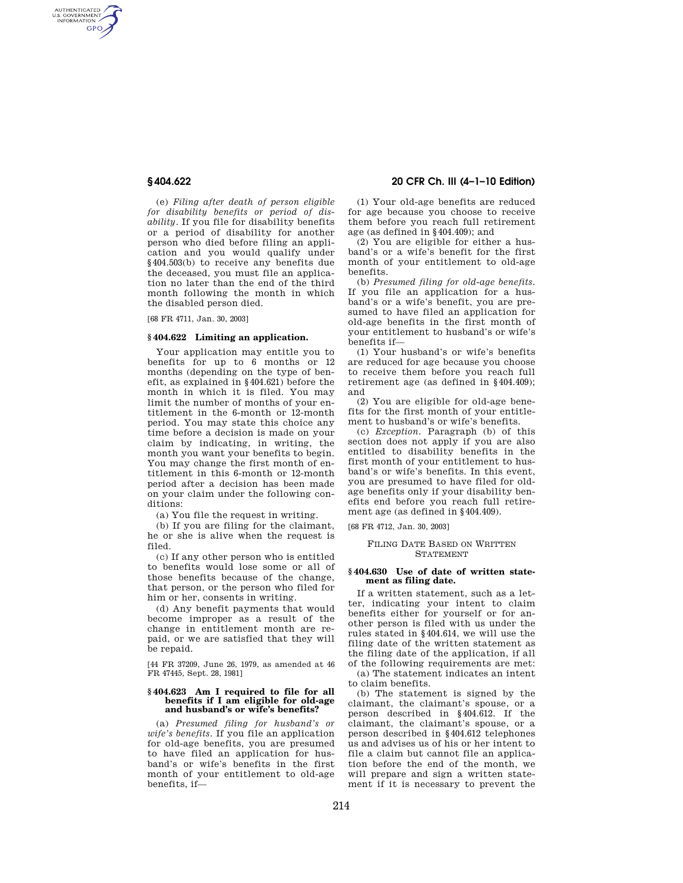AUTHENTICATED<br>U.S. GOVERNMENT<br>INFORMATION **GPO** 

> (e) *Filing after death of person eligible for disability benefits or period of disability.* If you file for disability benefits or a period of disability for another person who died before filing an application and you would qualify under §404.503(b) to receive any benefits due the deceased, you must file an application no later than the end of the third month following the month in which the disabled person died.

[68 FR 4711, Jan. 30, 2003]

#### **§ 404.622 Limiting an application.**

Your application may entitle you to benefits for up to 6 months or 12 months (depending on the type of benefit, as explained in §404.621) before the month in which it is filed. You may limit the number of months of your entitlement in the 6-month or 12-month period. You may state this choice any time before a decision is made on your claim by indicating, in writing, the month you want your benefits to begin. You may change the first month of entitlement in this 6-month or 12-month period after a decision has been made on your claim under the following conditions:

(a) You file the request in writing.

(b) If you are filing for the claimant, he or she is alive when the request is filed.

(c) If any other person who is entitled to benefits would lose some or all of those benefits because of the change, that person, or the person who filed for him or her, consents in writing.

(d) Any benefit payments that would become improper as a result of the change in entitlement month are repaid, or we are satisfied that they will be repaid.

[44 FR 37209, June 26, 1979, as amended at 46 FR 47445, Sept. 28, 1981]

#### **§ 404.623 Am I required to file for all benefits if I am eligible for old-age and husband's or wife's benefits?**

(a) *Presumed filing for husband's or wife's benefits.* If you file an application for old-age benefits, you are presumed to have filed an application for husband's or wife's benefits in the first month of your entitlement to old-age benefits, if—

# **§ 404.622 20 CFR Ch. III (4–1–10 Edition)**

(1) Your old-age benefits are reduced for age because you choose to receive them before you reach full retirement age (as defined in §404.409); and

(2) You are eligible for either a husband's or a wife's benefit for the first month of your entitlement to old-age benefits.

(b) *Presumed filing for old-age benefits.*  If you file an application for a husband's or a wife's benefit, you are presumed to have filed an application for old-age benefits in the first month of your entitlement to husband's or wife's benefits if—

(1) Your husband's or wife's benefits are reduced for age because you choose to receive them before you reach full retirement age (as defined in §404.409); and

(2) You are eligible for old-age benefits for the first month of your entitlement to husband's or wife's benefits.

(c) *Exception.* Paragraph (b) of this section does not apply if you are also entitled to disability benefits in the first month of your entitlement to husband's or wife's benefits. In this event, you are presumed to have filed for oldage benefits only if your disability benefits end before you reach full retirement age (as defined in §404.409).

[68 FR 4712, Jan. 30, 2003]

### FILING DATE BASED ON WRITTEN STATEMENT

### **§ 404.630 Use of date of written statement as filing date.**

If a written statement, such as a letter, indicating your intent to claim benefits either for yourself or for another person is filed with us under the rules stated in §404.614, we will use the filing date of the written statement as the filing date of the application, if all of the following requirements are met:

(a) The statement indicates an intent to claim benefits.

(b) The statement is signed by the claimant, the claimant's spouse, or a person described in §404.612. If the claimant, the claimant's spouse, or a person described in §404.612 telephones us and advises us of his or her intent to file a claim but cannot file an application before the end of the month, we will prepare and sign a written statement if it is necessary to prevent the